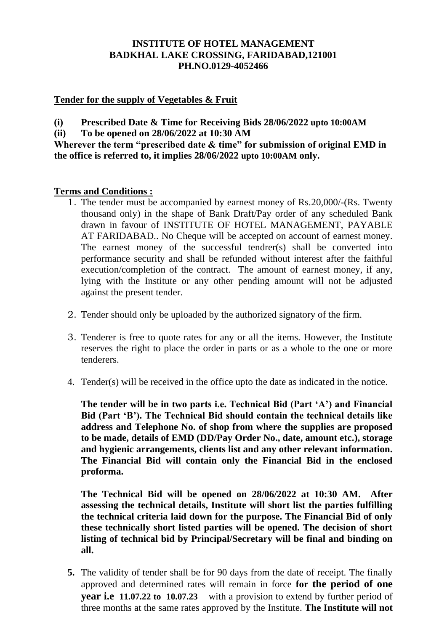# **INSTITUTE OF HOTEL MANAGEMENT BADKHAL LAKE CROSSING, FARIDABAD,121001 PH.NO.0129-4052466**

# **Tender for the supply of Vegetables & Fruit**

**(i) Prescribed Date & Time for Receiving Bids 28/06/2022 upto 10:00AM**

**(ii) To be opened on 28/06/2022 at 10:30 AM**

**Wherever the term "prescribed date & time" for submission of original EMD in the office is referred to, it implies 28/06/2022 upto 10:00AM only.**

#### **Terms and Conditions :**

- 1. The tender must be accompanied by earnest money of Rs.20,000/-(Rs. Twenty thousand only) in the shape of Bank Draft/Pay order of any scheduled Bank drawn in favour of INSTITUTE OF HOTEL MANAGEMENT, PAYABLE AT FARIDABAD.. No Cheque will be accepted on account of earnest money. The earnest money of the successful tendrer(s) shall be converted into performance security and shall be refunded without interest after the faithful execution/completion of the contract. The amount of earnest money, if any, lying with the Institute or any other pending amount will not be adjusted against the present tender.
- 2. Tender should only be uploaded by the authorized signatory of the firm.
- 3. Tenderer is free to quote rates for any or all the items. However, the Institute reserves the right to place the order in parts or as a whole to the one or more tenderers.
- 4. Tender(s) will be received in the office upto the date as indicated in the notice.

**The tender will be in two parts i.e. Technical Bid (Part 'A') and Financial Bid (Part 'B'). The Technical Bid should contain the technical details like address and Telephone No. of shop from where the supplies are proposed to be made, details of EMD (DD/Pay Order No., date, amount etc.), storage and hygienic arrangements, clients list and any other relevant information. The Financial Bid will contain only the Financial Bid in the enclosed proforma.** 

**The Technical Bid will be opened on 28/06/2022 at 10:30 AM. After assessing the technical details, Institute will short list the parties fulfilling the technical criteria laid down for the purpose. The Financial Bid of only these technically short listed parties will be opened. The decision of short listing of technical bid by Principal/Secretary will be final and binding on all.** 

**5.** The validity of tender shall be for 90 days from the date of receipt. The finally approved and determined rates will remain in force **for the period of one year i.e** 11.07.22 to 10.07.23 with a provision to extend by further period of three months at the same rates approved by the Institute. **The Institute will not**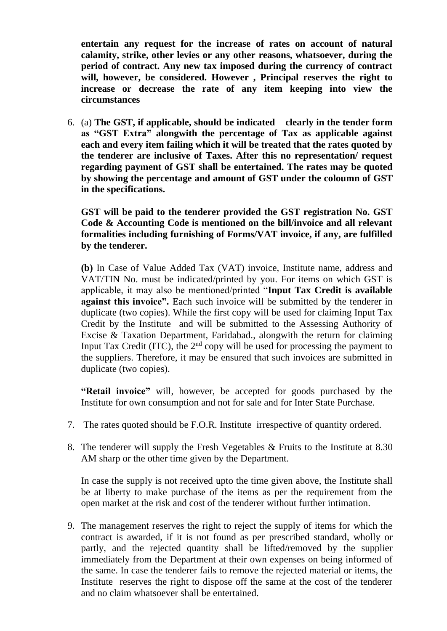**entertain any request for the increase of rates on account of natural calamity, strike, other levies or any other reasons, whatsoever, during the period of contract. Any new tax imposed during the currency of contract will, however, be considered. However , Principal reserves the right to increase or decrease the rate of any item keeping into view the circumstances**

6. (a) **The GST, if applicable, should be indicated clearly in the tender form as "GST Extra" alongwith the percentage of Tax as applicable against each and every item failing which it will be treated that the rates quoted by the tenderer are inclusive of Taxes. After this no representation/ request regarding payment of GST shall be entertained. The rates may be quoted by showing the percentage and amount of GST under the coloumn of GST in the specifications.**

**GST will be paid to the tenderer provided the GST registration No. GST Code & Accounting Code is mentioned on the bill/invoice and all relevant formalities including furnishing of Forms/VAT invoice, if any, are fulfilled by the tenderer.**

**(b)** In Case of Value Added Tax (VAT) invoice, Institute name, address and VAT/TIN No. must be indicated/printed by you. For items on which GST is applicable, it may also be mentioned/printed "**Input Tax Credit is available against this invoice".** Each such invoice will be submitted by the tenderer in duplicate (two copies). While the first copy will be used for claiming Input Tax Credit by the Institute and will be submitted to the Assessing Authority of Excise & Taxation Department, Faridabad., alongwith the return for claiming Input Tax Credit (ITC), the  $2<sup>nd</sup>$  copy will be used for processing the payment to the suppliers. Therefore, it may be ensured that such invoices are submitted in duplicate (two copies).

**"Retail invoice"** will, however, be accepted for goods purchased by the Institute for own consumption and not for sale and for Inter State Purchase.

- 7. The rates quoted should be F.O.R. Institute irrespective of quantity ordered.
- 8. The tenderer will supply the Fresh Vegetables & Fruits to the Institute at 8.30 AM sharp or the other time given by the Department.

In case the supply is not received upto the time given above, the Institute shall be at liberty to make purchase of the items as per the requirement from the open market at the risk and cost of the tenderer without further intimation.

9. The management reserves the right to reject the supply of items for which the contract is awarded, if it is not found as per prescribed standard, wholly or partly, and the rejected quantity shall be lifted/removed by the supplier immediately from the Department at their own expenses on being informed of the same. In case the tenderer fails to remove the rejected material or items, the Institute reserves the right to dispose off the same at the cost of the tenderer and no claim whatsoever shall be entertained.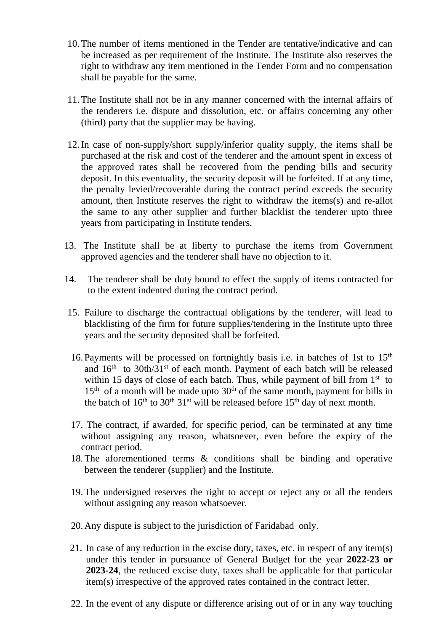- 10.The number of items mentioned in the Tender are tentative/indicative and can be increased as per requirement of the Institute. The Institute also reserves the right to withdraw any item mentioned in the Tender Form and no compensation shall be payable for the same.
- 11.The Institute shall not be in any manner concerned with the internal affairs of the tenderers i.e. dispute and dissolution, etc. or affairs concerning any other (third) party that the supplier may be having.
- 12.In case of non-supply/short supply/inferior quality supply, the items shall be purchased at the risk and cost of the tenderer and the amount spent in excess of the approved rates shall be recovered from the pending bills and security deposit. In this eventuality, the security deposit will be forfeited. If at any time, the penalty levied/recoverable during the contract period exceeds the security amount, then Institute reserves the right to withdraw the items(s) and re-allot the same to any other supplier and further blacklist the tenderer upto three years from participating in Institute tenders.
- 13. The Institute shall be at liberty to purchase the items from Government approved agencies and the tenderer shall have no objection to it.
- 14. The tenderer shall be duty bound to effect the supply of items contracted for to the extent indented during the contract period.
- 15. Failure to discharge the contractual obligations by the tenderer, will lead to blacklisting of the firm for future supplies/tendering in the Institute upto three years and the security deposited shall be forfeited.
- 16. Payments will be processed on fortnightly basis i.e. in batches of 1st to  $15<sup>th</sup>$ and  $16<sup>th</sup>$  to  $30th/31<sup>st</sup>$  of each month. Payment of each batch will be released within 15 days of close of each batch. Thus, while payment of bill from  $1<sup>st</sup>$  to  $15<sup>th</sup>$  of a month will be made upto  $30<sup>th</sup>$  of the same month, payment for bills in the batch of  $16<sup>th</sup>$  to  $30<sup>th</sup> 31<sup>st</sup>$  will be released before  $15<sup>th</sup>$  day of next month.
- 17. The contract, if awarded, for specific period, can be terminated at any time without assigning any reason, whatsoever, even before the expiry of the contract period.
- 18.The aforementioned terms & conditions shall be binding and operative between the tenderer (supplier) and the Institute.
- 19.The undersigned reserves the right to accept or reject any or all the tenders without assigning any reason whatsoever.
- 20.Any dispute is subject to the jurisdiction of Faridabad only.
- 21. In case of any reduction in the excise duty, taxes, etc. in respect of any item(s) under this tender in pursuance of General Budget for the year **2022-23 or 2023-24**, the reduced excise duty, taxes shall be applicable for that particular item(s) irrespective of the approved rates contained in the contract letter.
- 22. In the event of any dispute or difference arising out of or in any way touching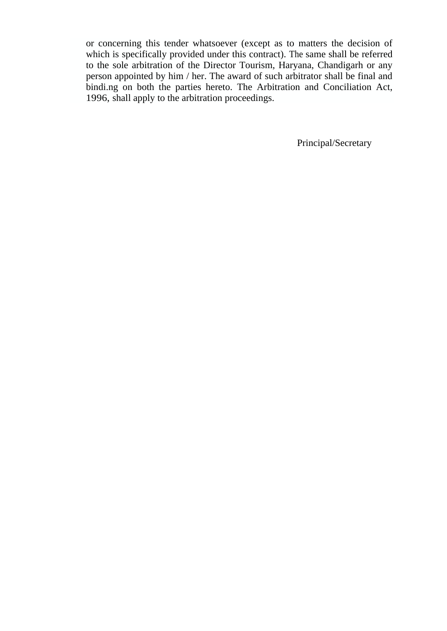or concerning this tender whatsoever (except as to matters the decision of which is specifically provided under this contract). The same shall be referred to the sole arbitration of the Director Tourism, Haryana, Chandigarh or any person appointed by him / her. The award of such arbitrator shall be final and bindi.ng on both the parties hereto. The Arbitration and Conciliation Act, 1996, shall apply to the arbitration proceedings.

Principal/Secretary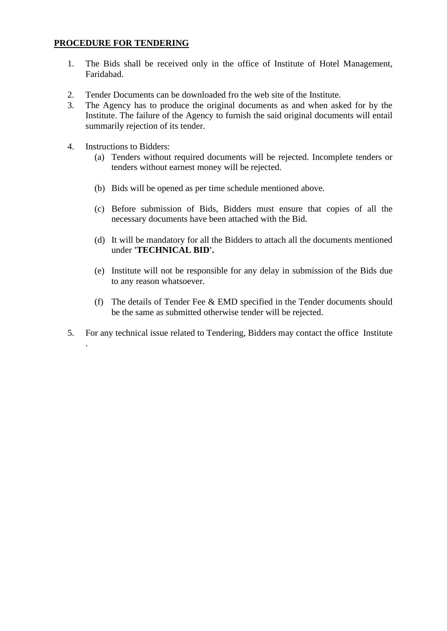#### **PROCEDURE FOR TENDERING**

- 1. The Bids shall be received only in the office of Institute of Hotel Management, Faridabad.
- 2. Tender Documents can be downloaded fro the web site of the Institute.
- 3. The Agency has to produce the original documents as and when asked for by the Institute. The failure of the Agency to furnish the said original documents will entail summarily rejection of its tender.
- 4. Instructions to Bidders:

.

- (a) Tenders without required documents will be rejected. Incomplete tenders or tenders without earnest money will be rejected.
- (b) Bids will be opened as per time schedule mentioned above.
- (c) Before submission of Bids, Bidders must ensure that copies of all the necessary documents have been attached with the Bid.
- (d) It will be mandatory for all the Bidders to attach all the documents mentioned under **'TECHNICAL BID'.**
- (e) Institute will not be responsible for any delay in submission of the Bids due to any reason whatsoever.
- (f) The details of Tender Fee & EMD specified in the Tender documents should be the same as submitted otherwise tender will be rejected.
- 5. For any technical issue related to Tendering, Bidders may contact the office Institute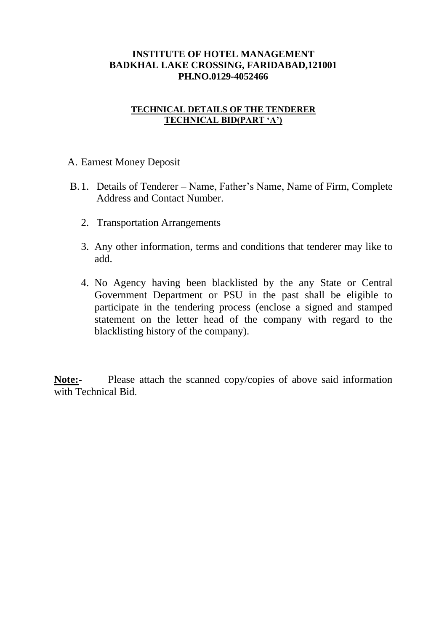# **INSTITUTE OF HOTEL MANAGEMENT BADKHAL LAKE CROSSING, FARIDABAD,121001 PH.NO.0129-4052466**

# **TECHNICAL DETAILS OF THE TENDERER TECHNICAL BID(PART 'A')**

A. Earnest Money Deposit

- B. 1. Details of Tenderer Name, Father's Name, Name of Firm, Complete Address and Contact Number.
	- 2. Transportation Arrangements
	- 3. Any other information, terms and conditions that tenderer may like to add.
	- 4. No Agency having been blacklisted by the any State or Central Government Department or PSU in the past shall be eligible to participate in the tendering process (enclose a signed and stamped statement on the letter head of the company with regard to the blacklisting history of the company).

**Note:**- Please attach the scanned copy/copies of above said information with Technical Bid.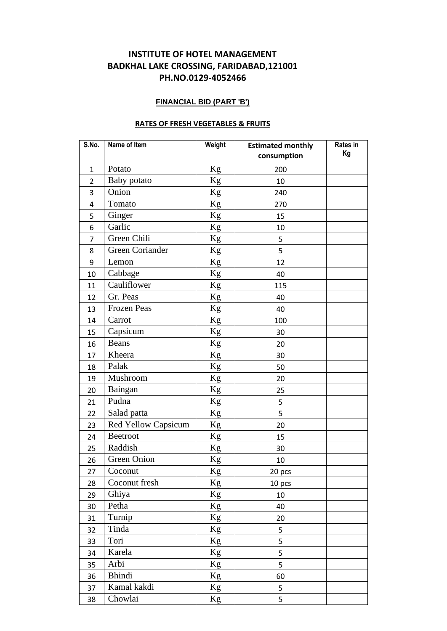# **INSTITUTE OF HOTEL MANAGEMENT BADKHAL LAKE CROSSING, FARIDABAD,121001 PH.NO.0129-4052466**

#### **FINANCIAL BID (PART 'B')**

#### **RATES OF FRESH VEGETABLES & FRUITS**

| S.No.                   | Name of Item               | Weight        | <b>Estimated monthly</b><br>consumption | Rates in<br>Kg |
|-------------------------|----------------------------|---------------|-----------------------------------------|----------------|
| $\mathbf{1}$            | Potato                     | $\mathrm{Kg}$ | 200                                     |                |
| $\overline{2}$          | Baby potato                | Kg            | 10                                      |                |
| 3                       | Onion                      | Kg            | 240                                     |                |
| $\overline{\mathbf{4}}$ | Tomato                     | $\rm Kg$      | 270                                     |                |
| 5                       | Ginger                     | Kg            | 15                                      |                |
| 6                       | Garlic                     | $\rm Kg$      | 10                                      |                |
| 7                       | Green Chili                | Kg            | 5                                       |                |
| 8                       | Green Coriander            | Kg            | 5                                       |                |
| 9                       | Lemon                      | Kg            | 12                                      |                |
| 10                      | Cabbage                    | Kg            | 40                                      |                |
| 11                      | Cauliflower                | $\rm Kg$      | 115                                     |                |
| 12                      | Gr. Peas                   | Kg            | 40                                      |                |
| 13                      | Frozen Peas                | $\mathrm{Kg}$ | 40                                      |                |
| 14                      | Carrot                     | Kg            | 100                                     |                |
| 15                      | Capsicum                   | Kg            | 30                                      |                |
| 16                      | <b>Beans</b>               | $\rm Kg$      | 20                                      |                |
| 17                      | Kheera                     | $\rm Kg$      | 30                                      |                |
| 18                      | Palak                      | Kg            | 50                                      |                |
| 19                      | Mushroom                   | Kg            | 20                                      |                |
| 20                      | Baingan                    | $\mathrm{Kg}$ | 25                                      |                |
| 21                      | Pudna                      | Kg            | 5                                       |                |
| 22                      | Salad patta                | Kg            | 5                                       |                |
| 23                      | <b>Red Yellow Capsicum</b> | $\rm Kg$      | 20                                      |                |
| 24                      | <b>Beetroot</b>            | Kg            | 15                                      |                |
| 25                      | Raddish                    | Kg            | 30                                      |                |
| 26                      | Green Onion                | $\rm Kg$      | 10                                      |                |
| 27                      | Coconut                    | Kg            | 20 pcs                                  |                |
| 28                      | Coconut fresh              | $\rm Kg$      | 10 pcs                                  |                |
| 29                      | Ghiya                      | Kg            | 10                                      |                |
| 30                      | Petha                      | Kg            | 40                                      |                |
| 31                      | Turnip                     | Kg            | 20                                      |                |
| 32                      | Tinda                      | Kg            | 5                                       |                |
| 33                      | Tori                       | Kg            | 5                                       |                |
| 34                      | Karela                     | $\rm Kg$      | 5                                       |                |
| 35                      | Arbi                       | $\mathrm{Kg}$ | 5                                       |                |
| 36                      | <b>Bhindi</b>              | Kg            | 60                                      |                |
| 37                      | Kamal kakdi                | Kg            | 5                                       |                |
| 38                      | Chowlai                    | Kg            | 5                                       |                |